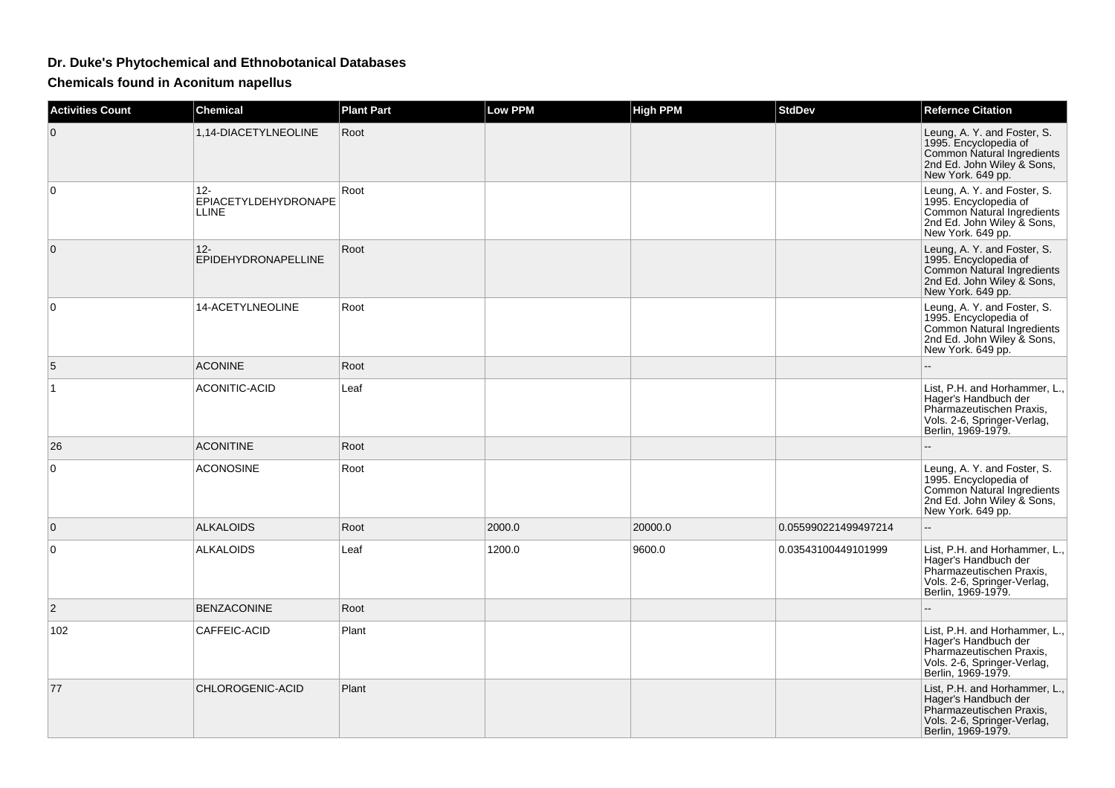## **Dr. Duke's Phytochemical and Ethnobotanical Databases**

**Chemicals found in Aconitum napellus**

| <b>Activities Count</b> | <b>Chemical</b>                                | <b>Plant Part</b> | Low PPM | <b>High PPM</b> | <b>StdDev</b>        | <b>Refernce Citation</b>                                                                                                               |
|-------------------------|------------------------------------------------|-------------------|---------|-----------------|----------------------|----------------------------------------------------------------------------------------------------------------------------------------|
| $\Omega$                | 1,14-DIACETYLNEOLINE                           | Root              |         |                 |                      | Leung, A. Y. and Foster, S.<br>1995. Encyclopedia of<br>Common Natural Ingredients<br>2nd Ed. John Wiley & Sons,<br>New York. 649 pp.  |
| $\Omega$                | $12 -$<br>EPIACETYLDEHYDRONAPE<br><b>LLINE</b> | Root              |         |                 |                      | Leung, A. Y. and Foster, S.<br>1995. Encyclopedia of<br>Common Natural Ingredients<br>2nd Ed. John Wiley & Sons,<br>New York. 649 pp.  |
| $\mathbf{0}$            | $12 -$<br>EPIDEHYDRONAPELLINE                  | Root              |         |                 |                      | Leung, A. Y. and Foster, S.<br>1995. Encyclopedia of<br>Common Natural Ingredients<br>2nd Ed. John Wiley & Sons,<br>New York. 649 pp.  |
| 0                       | 14-ACETYLNEOLINE                               | Root              |         |                 |                      | Leung, A. Y. and Foster, S.<br>1995. Encyclopedia of<br>Common Natural Ingredients<br>2nd Ed. John Wiley & Sons,<br>New York. 649 pp.  |
| 5                       | <b>ACONINE</b>                                 | Root              |         |                 |                      |                                                                                                                                        |
| 1                       | <b>ACONITIC-ACID</b>                           | Leaf              |         |                 |                      | List, P.H. and Horhammer, L.,<br>Hager's Handbuch der<br>Pharmazeutischen Praxis,<br>Vols. 2-6, Springer-Verlag,<br>Berlin, 1969-1979. |
| 26                      | <b>ACONITINE</b>                               | Root              |         |                 |                      |                                                                                                                                        |
| 0                       | <b>ACONOSINE</b>                               | Root              |         |                 |                      | Leung, A. Y. and Foster, S.<br>1995. Encyclopedia of<br>Common Natural Ingredients<br>2nd Ed. John Wiley & Sons,<br>New York. 649 pp.  |
| $\mathbf{0}$            | <b>ALKALOIDS</b>                               | Root              | 2000.0  | 20000.0         | 0.055990221499497214 | $\overline{a}$                                                                                                                         |
| 0                       | <b>ALKALOIDS</b>                               | Leaf              | 1200.0  | 9600.0          | 0.03543100449101999  | List, P.H. and Horhammer, L.,<br>Hager's Handbuch der<br>Pharmazeutischen Praxis,<br>Vols. 2-6, Springer-Verlag,<br>Berlin, 1969-1979. |
| $\overline{2}$          | <b>BENZACONINE</b>                             | Root              |         |                 |                      |                                                                                                                                        |
| 102                     | CAFFEIC-ACID                                   | Plant             |         |                 |                      | List, P.H. and Horhammer, L.,<br>Hager's Handbuch der<br>Pharmazeutischen Praxis,<br>Vols. 2-6, Springer-Verlag,<br>Berlin, 1969-1979. |
| 77                      | CHLOROGENIC-ACID                               | Plant             |         |                 |                      | List, P.H. and Horhammer, L.,<br>Hager's Handbuch der<br>Pharmazeutischen Praxis,<br>Vols. 2-6, Springer-Verlag,<br>Berlin, 1969-1979. |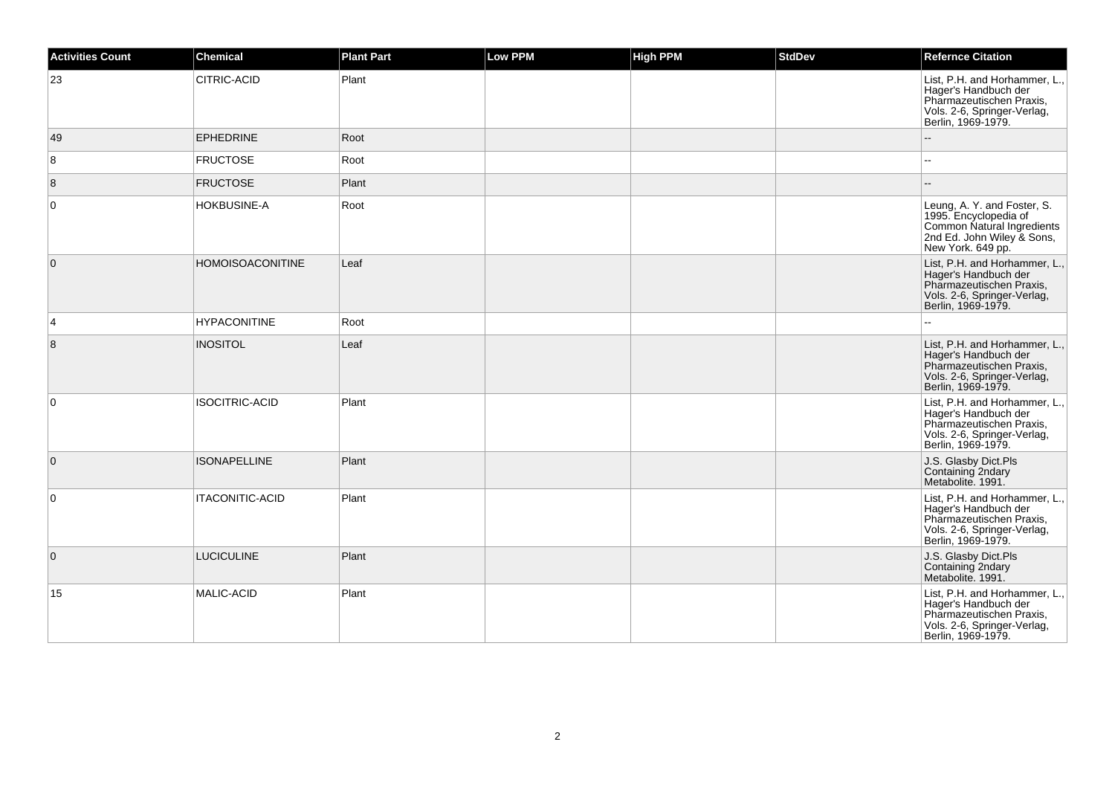| <b>Activities Count</b> | <b>Chemical</b>         | <b>Plant Part</b> | Low PPM | <b>High PPM</b> | <b>StdDev</b> | <b>Refernce Citation</b>                                                                                                               |
|-------------------------|-------------------------|-------------------|---------|-----------------|---------------|----------------------------------------------------------------------------------------------------------------------------------------|
| 23                      | CITRIC-ACID             | Plant             |         |                 |               | List, P.H. and Horhammer, L.,<br>Hager's Handbuch der<br>Pharmazeutischen Praxis,<br>Vols. 2-6, Springer-Verlag,<br>Berlin, 1969-1979. |
| 49                      | <b>EPHEDRINE</b>        | Root              |         |                 |               |                                                                                                                                        |
| 8                       | <b>FRUCTOSE</b>         | Root              |         |                 |               | $\overline{\phantom{a}}$                                                                                                               |
| 8                       | <b>FRUCTOSE</b>         | Plant             |         |                 |               |                                                                                                                                        |
| 0                       | HOKBUSINE-A             | Root              |         |                 |               | Leung, A. Y. and Foster, S.<br>1995. Encyclopedia of<br>Common Natural Ingredients<br>2nd Ed. John Wiley & Sons,<br>New York. 649 pp.  |
| $\mathbf 0$             | <b>HOMOISOACONITINE</b> | Leaf              |         |                 |               | List, P.H. and Horhammer, L.,<br>Hager's Handbuch der<br>Pharmazeutischen Praxis,<br>Vols. 2-6, Springer-Verlag,<br>Berlin, 1969-1979. |
| 4                       | <b>HYPACONITINE</b>     | Root              |         |                 |               |                                                                                                                                        |
| 8                       | <b>INOSITOL</b>         | Leaf              |         |                 |               | List, P.H. and Horhammer, L.,<br>Hager's Handbuch der<br>Pharmazeutischen Praxis,<br>Vols. 2-6, Springer-Verlag,<br>Berlin, 1969-1979. |
| $\mathbf 0$             | <b>ISOCITRIC-ACID</b>   | Plant             |         |                 |               | List, P.H. and Horhammer, L.,<br>Hager's Handbuch der<br>Pharmazeutischen Praxis,<br>Vols. 2-6, Springer-Verlag,<br>Berlin, 1969-1979. |
| 0                       | <b>ISONAPELLINE</b>     | Plant             |         |                 |               | J.S. Glasby Dict.Pls<br>Containing 2ndary<br>Metabolite. 1991.                                                                         |
| $\mathbf 0$             | <b>ITACONITIC-ACID</b>  | Plant             |         |                 |               | List, P.H. and Horhammer, L.,<br>Hager's Handbuch der<br>Pharmazeutischen Praxis,<br>Vols. 2-6, Springer-Verlag,<br>Berlin, 1969-1979. |
| 0                       | <b>LUCICULINE</b>       | Plant             |         |                 |               | J.S. Glasby Dict.Pls<br>Containing 2ndary<br>Metabolite. 1991.                                                                         |
| 15                      | MALIC-ACID              | Plant             |         |                 |               | List, P.H. and Horhammer, L.,<br>Hager's Handbuch der<br>Pharmazeutischen Praxis,<br>Vols. 2-6, Springer-Verlag,<br>Berlin, 1969-1979. |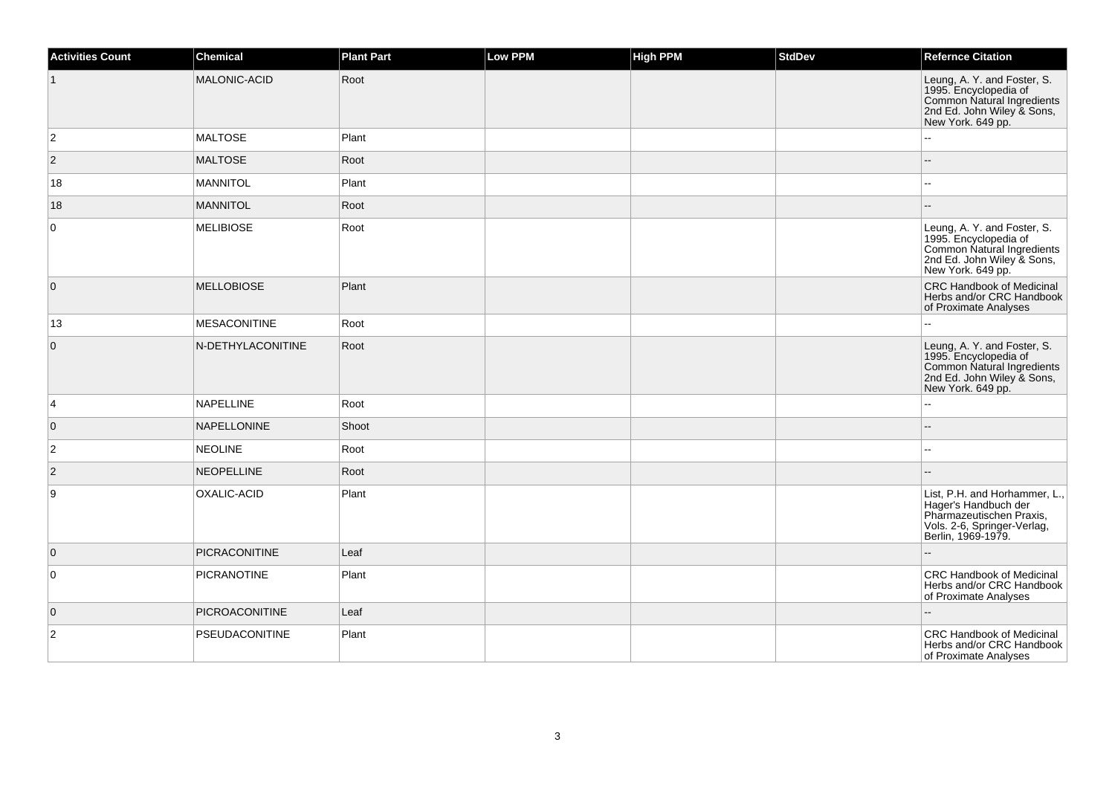| <b>Activities Count</b> | <b>Chemical</b>      | <b>Plant Part</b> | <b>Low PPM</b> | <b>High PPM</b> | <b>StdDev</b> | <b>Refernce Citation</b>                                                                                                               |
|-------------------------|----------------------|-------------------|----------------|-----------------|---------------|----------------------------------------------------------------------------------------------------------------------------------------|
|                         | MALONIC-ACID         | Root              |                |                 |               | Leung, A. Y. and Foster, S.<br>1995. Encyclopedia of<br>Common Natural Ingredients<br>2nd Ed. John Wiley & Sons,<br>New York. 649 pp.  |
| $\overline{2}$          | <b>MALTOSE</b>       | Plant             |                |                 |               |                                                                                                                                        |
| $ 2\rangle$             | <b>MALTOSE</b>       | Root              |                |                 |               |                                                                                                                                        |
| 18                      | <b>MANNITOL</b>      | Plant             |                |                 |               |                                                                                                                                        |
| 18                      | <b>MANNITOL</b>      | Root              |                |                 |               |                                                                                                                                        |
| 0                       | <b>MELIBIOSE</b>     | Root              |                |                 |               | Leung, A. Y. and Foster, S.<br>1995. Encyclopedia of<br>Common Natural Ingredients<br>2nd Ed. John Wiley & Sons,<br>New York. 649 pp.  |
| $\overline{0}$          | <b>MELLOBIOSE</b>    | Plant             |                |                 |               | <b>CRC Handbook of Medicinal</b><br>Herbs and/or CRC Handbook<br>of Proximate Analyses                                                 |
| 13                      | <b>MESACONITINE</b>  | Root              |                |                 |               |                                                                                                                                        |
| $\pmb{0}$               | N-DETHYLACONITINE    | Root              |                |                 |               | Leung, A. Y. and Foster, S.<br>1995. Encyclopedia of<br>Common Natural Ingredients<br>2nd Ed. John Wiley & Sons,<br>New York. 649 pp.  |
| 4                       | <b>NAPELLINE</b>     | Root              |                |                 |               |                                                                                                                                        |
| $\overline{0}$          | NAPELLONINE          | Shoot             |                |                 |               | $\overline{a}$                                                                                                                         |
| $\overline{c}$          | <b>NEOLINE</b>       | Root              |                |                 |               |                                                                                                                                        |
| $\vert$ 2               | <b>NEOPELLINE</b>    | Root              |                |                 |               |                                                                                                                                        |
| 9                       | OXALIC-ACID          | Plant             |                |                 |               | List, P.H. and Horhammer, L.,<br>Hager's Handbuch der<br>Pharmazeutischen Praxis,<br>Vols. 2-6, Springer-Verlag,<br>Berlin, 1969-1979. |
| $\overline{0}$          | <b>PICRACONITINE</b> | Leaf              |                |                 |               |                                                                                                                                        |
| $\mathsf 0$             | <b>PICRANOTINE</b>   | Plant             |                |                 |               | CRC Handbook of Medicinal<br>Herbs and/or CRC Handbook<br>of Proximate Analyses                                                        |
| $\overline{0}$          | PICROACONITINE       | Leaf              |                |                 |               |                                                                                                                                        |
| $\overline{c}$          | PSEUDACONITINE       | Plant             |                |                 |               | CRC Handbook of Medicinal<br>Herbs and/or CRC Handbook<br>of Proximate Analyses                                                        |